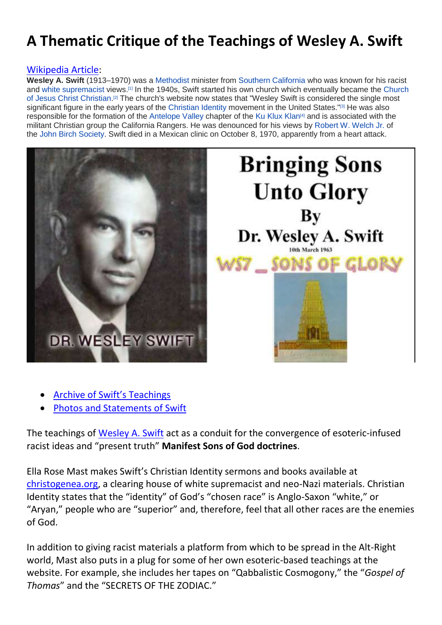# **A Thematic Critique of the Teachings of Wesley A. Swift**

#### [Wikipedia Article:](https://en.wikipedia.org/wiki/Wesley_A._Swift)

**Wesley A. Swift** (1913–1970) was a [Methodist](https://en.wikipedia.org/wiki/Methodist) minister from [Southern California](https://en.wikipedia.org/wiki/Southern_California) who was known for his racist and [white supremacist](https://en.wikipedia.org/wiki/White_Supremacist) views.[\[1\]](https://en.wikipedia.org/wiki/Wesley_A._Swift#cite_note-1) In the 1940s, Swift started his own church which eventually became the [Church](https://en.wikipedia.org/wiki/Church_of_Jesus_Christ%E2%80%93Christian)  [of Jesus Christ Christian.](https://en.wikipedia.org/wiki/Church_of_Jesus_Christ%E2%80%93Christian) [\[2\]](https://en.wikipedia.org/wiki/Wesley_A._Swift#cite_note-ADL-AryanN-2) The church's website now states that "Wesley Swift is considered the single most significant figure in the early years of the [Christian Identity](https://en.wikipedia.org/wiki/Christian_Identity) movement in the United States."<sup>[\[3\]](https://en.wikipedia.org/wiki/Wesley_A._Swift#cite_note-Church-3)</sup> He was also responsible for the formation of the [Antelope Valley](https://en.wikipedia.org/wiki/Antelope_Valley) chapter of the [Ku Klux Klan](https://en.wikipedia.org/wiki/Ku_Klux_Klan)[\[4\]](https://en.wikipedia.org/wiki/Ku_Klux_Klan) and is associated with the militant Christian group the California Rangers. He was denounced for his views by [Robert W. Welch Jr.](https://en.wikipedia.org/wiki/Robert_W._Welch_Jr.) of the [John Birch Society.](https://en.wikipedia.org/wiki/John_Birch_Society) Swift died in a Mexican clinic on October 8, 1970, apparently from a heart attack.



- [Archive of Swift's Teachings](https://archive.org/details/Wesley_Swift_DSCI_audio_teachings_PT1)
- [Photos and Statements of Swift](https://alchetron.com/Wesley-A-Swift)

The teachings of [Wesley A. Swift](https://kingidentity.com/cjc.html) act as a conduit for the convergence of esoteric-infused racist ideas and "present truth" **Manifest Sons of God doctrines**.

Ella Rose Mast makes Swift's Christian Identity sermons and books available at [christogenea.org,](http://christogenea.org/) a clearing house of white supremacist and neo-Nazi materials. Christian Identity states that the "identity" of God's "chosen race" is Anglo-Saxon "white," or "Aryan," people who are "superior" and, therefore, feel that all other races are the enemies of God.

In addition to giving racist materials a platform from which to be spread in the Alt-Right world, Mast also puts in a plug for some of her own esoteric-based teachings at the website. For example, she includes her tapes on "Qabbalistic Cosmogony," the "*Gospel of Thomas*" and the "SECRETS OF THE ZODIAC."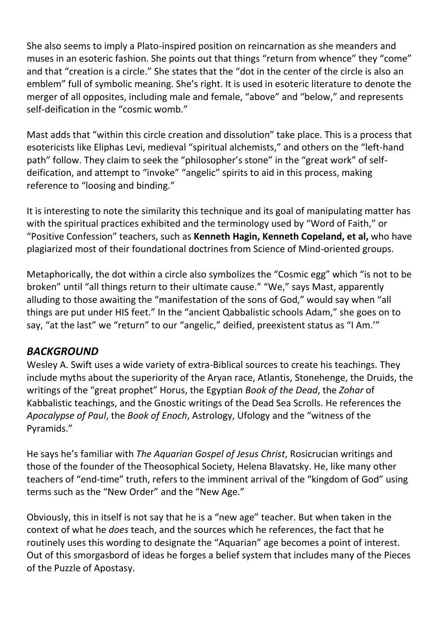She also seems to imply a Plato-inspired position on reincarnation as she meanders and muses in an esoteric fashion. She points out that things "return from whence" they "come" and that "creation is a circle." She states that the "dot in the center of the circle is also an emblem" full of symbolic meaning. She's right. It is used in esoteric literature to denote the merger of all opposites, including male and female, "above" and "below," and represents self-deification in the "cosmic womb."

Mast adds that "within this circle creation and dissolution" take place. This is a process that esotericists like Eliphas Levi, medieval "spiritual alchemists," and others on the "left-hand path" follow. They claim to seek the "philosopher's stone" in the "great work" of selfdeification, and attempt to "invoke" "angelic" spirits to aid in this process, making reference to "loosing and binding."

It is interesting to note the similarity this technique and its goal of manipulating matter has with the spiritual practices exhibited and the terminology used by "Word of Faith," or "Positive Confession" teachers, such as **Kenneth Hagin, Kenneth Copeland, et al,** who have plagiarized most of their foundational doctrines from Science of Mind-oriented groups.

Metaphorically, the dot within a circle also symbolizes the "Cosmic egg" which "is not to be broken" until "all things return to their ultimate cause." "We," says Mast, apparently alluding to those awaiting the "manifestation of the sons of God," would say when "all things are put under HIS feet." In the "ancient Qabbalistic schools Adam," she goes on to say, "at the last" we "return" to our "angelic," deified, preexistent status as "I Am.'"

## *BACKGROUND*

Wesley A. Swift uses a wide variety of extra-Biblical sources to create his teachings. They include myths about the superiority of the Aryan race, Atlantis, Stonehenge, the Druids, the writings of the "great prophet" Horus, the Egyptian *Book of the Dead*, the *Zohar* of Kabbalistic teachings, and the Gnostic writings of the Dead Sea Scrolls. He references the *Apocalypse of Paul*, the *Book of Enoch*, Astrology, Ufology and the "witness of the Pyramids."

He says he's familiar with *The Aquarian Gospel of Jesus Christ*, Rosicrucian writings and those of the founder of the Theosophical Society, Helena Blavatsky. He, like many other teachers of "end-time" truth, refers to the imminent arrival of the "kingdom of God" using terms such as the "New Order" and the "New Age."

Obviously, this in itself is not say that he is a "new age" teacher. But when taken in the context of what he *does* teach, and the sources which he references, the fact that he routinely uses this wording to designate the "Aquarian" age becomes a point of interest. Out of this smorgasbord of ideas he forges a belief system that includes many of the Pieces of the Puzzle of Apostasy.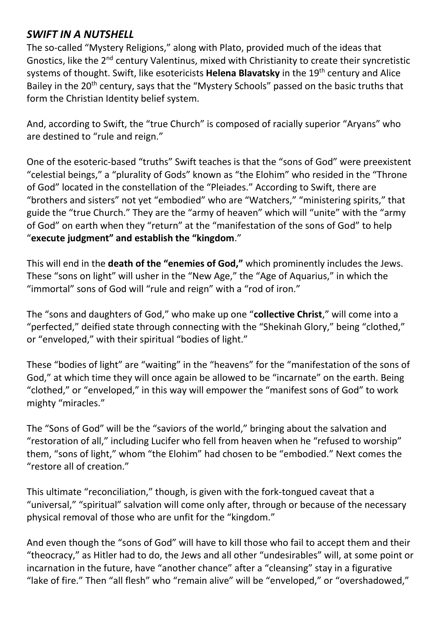## *SWIFT IN A NUTSHELL*

The so-called "Mystery Religions," along with Plato, provided much of the ideas that Gnostics, like the 2nd century Valentinus, mixed with Christianity to create their syncretistic systems of thought. Swift, like esotericists **Helena Blavatsky** in the 19th century and Alice Bailey in the 20<sup>th</sup> century, says that the "Mystery Schools" passed on the basic truths that form the Christian Identity belief system.

And, according to Swift, the "true Church" is composed of racially superior "Aryans" who are destined to "rule and reign."

One of the esoteric-based "truths" Swift teaches is that the "sons of God" were preexistent "celestial beings," a "plurality of Gods" known as "the Elohim" who resided in the "Throne of God" located in the constellation of the "Pleiades." According to Swift, there are "brothers and sisters" not yet "embodied" who are "Watchers," "ministering spirits," that guide the "true Church." They are the "army of heaven" which will "unite" with the "army of God" on earth when they "return" at the "manifestation of the sons of God" to help "**execute judgment" and establish the "kingdom**."

This will end in the **death of the "enemies of God,"** which prominently includes the Jews. These "sons on light" will usher in the "New Age," the "Age of Aquarius," in which the "immortal" sons of God will "rule and reign" with a "rod of iron."

The "sons and daughters of God," who make up one "**collective Christ**," will come into a "perfected," deified state through connecting with the "Shekinah Glory," being "clothed," or "enveloped," with their spiritual "bodies of light."

These "bodies of light" are "waiting" in the "heavens" for the "manifestation of the sons of God," at which time they will once again be allowed to be "incarnate" on the earth. Being "clothed," or "enveloped," in this way will empower the "manifest sons of God" to work mighty "miracles."

The "Sons of God" will be the "saviors of the world," bringing about the salvation and "restoration of all," including Lucifer who fell from heaven when he "refused to worship" them, "sons of light," whom "the Elohim" had chosen to be "embodied." Next comes the "restore all of creation."

This ultimate "reconciliation," though, is given with the fork-tongued caveat that a "universal," "spiritual" salvation will come only after, through or because of the necessary physical removal of those who are unfit for the "kingdom."

And even though the "sons of God" will have to kill those who fail to accept them and their "theocracy," as Hitler had to do, the Jews and all other "undesirables" will, at some point or incarnation in the future, have "another chance" after a "cleansing" stay in a figurative "lake of fire." Then "all flesh" who "remain alive" will be "enveloped," or "overshadowed,"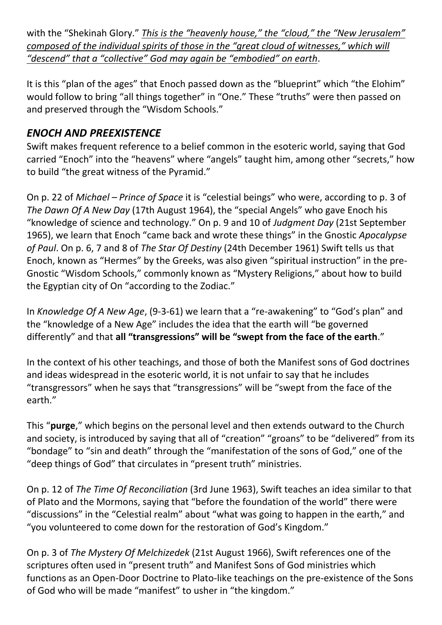with the "Shekinah Glory." *This is the "heavenly house," the "cloud," the "New Jerusalem" composed of the individual spirits of those in the "great cloud of witnesses," which will "descend" that a "collective" God may again be "embodied" on earth*.

It is this "plan of the ages" that Enoch passed down as the "blueprint" which "the Elohim" would follow to bring "all things together" in "One." These "truths" were then passed on and preserved through the "Wisdom Schools."

## *ENOCH AND PREEXISTENCE*

Swift makes frequent reference to a belief common in the esoteric world, saying that God carried "Enoch" into the "heavens" where "angels" taught him, among other "secrets," how to build "the great witness of the Pyramid."

On p. 22 of *Michael – Prince of Space* it is "celestial beings" who were, according to p. 3 of *The Dawn Of A New Day* (17th August 1964), the "special Angels" who gave Enoch his "knowledge of science and technology." On p. 9 and 10 of *Judgment Day* (21st September 1965), we learn that Enoch "came back and wrote these things" in the Gnostic *Apocalypse of Paul*. On p. 6, 7 and 8 of *The Star Of Destiny* (24th December 1961) Swift tells us that Enoch, known as "Hermes" by the Greeks, was also given "spiritual instruction" in the pre-Gnostic "Wisdom Schools," commonly known as "Mystery Religions," about how to build the Egyptian city of On "according to the Zodiac."

In *Knowledge Of A New Age*, (9-3-61) we learn that a "re-awakening" to "God's plan" and the "knowledge of a New Age" includes the idea that the earth will "be governed differently" and that **all "transgressions" will be "swept from the face of the earth**."

In the context of his other teachings, and those of both the Manifest sons of God doctrines and ideas widespread in the esoteric world, it is not unfair to say that he includes "transgressors" when he says that "transgressions" will be "swept from the face of the earth."

This "**purge**," which begins on the personal level and then extends outward to the Church and society, is introduced by saying that all of "creation" "groans" to be "delivered" from its "bondage" to "sin and death" through the "manifestation of the sons of God," one of the "deep things of God" that circulates in "present truth" ministries.

On p. 12 of *The Time Of Reconciliation* (3rd June 1963), Swift teaches an idea similar to that of Plato and the Mormons, saying that "before the foundation of the world" there were "discussions" in the "Celestial realm" about "what was going to happen in the earth," and "you volunteered to come down for the restoration of God's Kingdom."

On p. 3 of *The Mystery Of Melchizedek* (21st August 1966), Swift references one of the scriptures often used in "present truth" and Manifest Sons of God ministries which functions as an Open-Door Doctrine to Plato-like teachings on the pre-existence of the Sons of God who will be made "manifest" to usher in "the kingdom."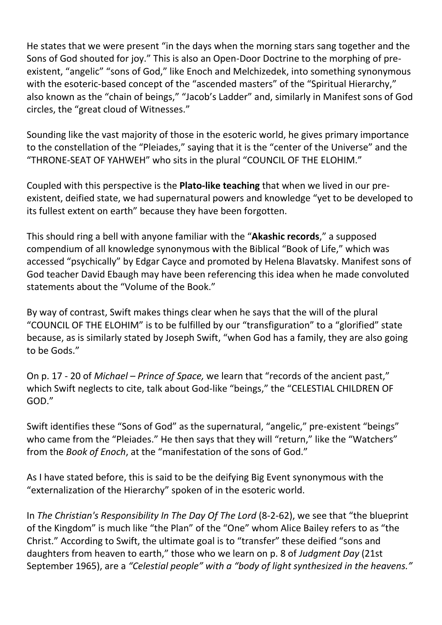He states that we were present "in the days when the morning stars sang together and the Sons of God shouted for joy." This is also an Open-Door Doctrine to the morphing of preexistent, "angelic" "sons of God," like Enoch and Melchizedek, into something synonymous with the esoteric-based concept of the "ascended masters" of the "Spiritual Hierarchy," also known as the "chain of beings," "Jacob's Ladder" and, similarly in Manifest sons of God circles, the "great cloud of Witnesses."

Sounding like the vast majority of those in the esoteric world, he gives primary importance to the constellation of the "Pleiades," saying that it is the "center of the Universe" and the "THRONE-SEAT OF YAHWEH" who sits in the plural "COUNCIL OF THE ELOHIM."

Coupled with this perspective is the **Plato-like teaching** that when we lived in our preexistent, deified state, we had supernatural powers and knowledge "yet to be developed to its fullest extent on earth" because they have been forgotten.

This should ring a bell with anyone familiar with the "**Akashic records**," a supposed compendium of all knowledge synonymous with the Biblical "Book of Life," which was accessed "psychically" by Edgar Cayce and promoted by Helena Blavatsky. Manifest sons of God teacher David Ebaugh may have been referencing this idea when he made convoluted statements about the "Volume of the Book."

By way of contrast, Swift makes things clear when he says that the will of the plural "COUNCIL OF THE ELOHIM" is to be fulfilled by our "transfiguration" to a "glorified" state because, as is similarly stated by Joseph Swift, "when God has a family, they are also going to be Gods."

On p. 17 - 20 of *Michael – Prince of Space*, we learn that "records of the ancient past," which Swift neglects to cite, talk about God-like "beings," the "CELESTIAL CHILDREN OF GOD."

Swift identifies these "Sons of God" as the supernatural, "angelic," pre-existent "beings" who came from the "Pleiades." He then says that they will "return," like the "Watchers" from the *Book of Enoch*, at the "manifestation of the sons of God."

As I have stated before, this is said to be the deifying Big Event synonymous with the "externalization of the Hierarchy" spoken of in the esoteric world.

In *The Christian's Responsibility In The Day Of The Lord* (8-2-62), we see that "the blueprint of the Kingdom" is much like "the Plan" of the "One" whom Alice Bailey refers to as "the Christ." According to Swift, the ultimate goal is to "transfer" these deified "sons and daughters from heaven to earth," those who we learn on p. 8 of *Judgment Day* (21st September 1965), are a *"Celestial people" with a "body of light synthesized in the heavens."*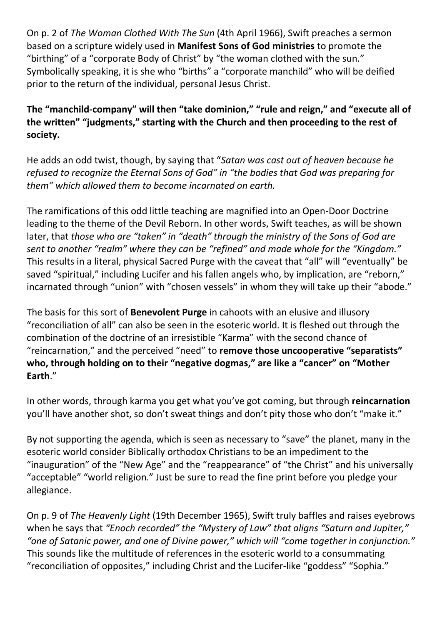On p. 2 of *The Woman Clothed With The Sun* (4th April 1966), Swift preaches a sermon based on a scripture widely used in **Manifest Sons of God ministries** to promote the "birthing" of a "corporate Body of Christ" by "the woman clothed with the sun." Symbolically speaking, it is she who "births" a "corporate manchild" who will be deified prior to the return of the individual, personal Jesus Christ.

**The "manchild-company" will then "take dominion," "rule and reign," and "execute all of the written" "judgments," starting with the Church and then proceeding to the rest of society.**

He adds an odd twist, though, by saying that "*Satan was cast out of heaven because he refused to recognize the Eternal Sons of God" in "the bodies that God was preparing for them" which allowed them to become incarnated on earth.* 

The ramifications of this odd little teaching are magnified into an Open-Door Doctrine leading to the theme of the Devil Reborn. In other words, Swift teaches, as will be shown later, that *those who are "taken" in "death" through the ministry of the Sons of God are sent to another "realm" where they can be "refined" and made whole for the "Kingdom."* This results in a literal, physical Sacred Purge with the caveat that "all" will "eventually" be saved "spiritual," including Lucifer and his fallen angels who, by implication, are "reborn," incarnated through "union" with "chosen vessels" in whom they will take up their "abode."

The basis for this sort of **Benevolent Purge** in cahoots with an elusive and illusory "reconciliation of all" can also be seen in the esoteric world. It is fleshed out through the combination of the doctrine of an irresistible "Karma" with the second chance of "reincarnation," and the perceived "need" to **remove those uncooperative "separatists" who, through holding on to their "negative dogmas," are like a "cancer" on "Mother Earth**."

In other words, through karma you get what you've got coming, but through **reincarnation** you'll have another shot, so don't sweat things and don't pity those who don't "make it."

By not supporting the agenda, which is seen as necessary to "save" the planet, many in the esoteric world consider Biblically orthodox Christians to be an impediment to the "inauguration" of the "New Age" and the "reappearance" of "the Christ" and his universally "acceptable" "world religion." Just be sure to read the fine print before you pledge your allegiance.

On p. 9 of *The Heavenly Light* (19th December 1965), Swift truly baffles and raises eyebrows when he says that *"Enoch recorded" the "Mystery of Law" that aligns "Saturn and Jupiter," "one of Satanic power, and one of Divine power," which will "come together in conjunction."* This sounds like the multitude of references in the esoteric world to a consummating "reconciliation of opposites," including Christ and the Lucifer-like "goddess" "Sophia."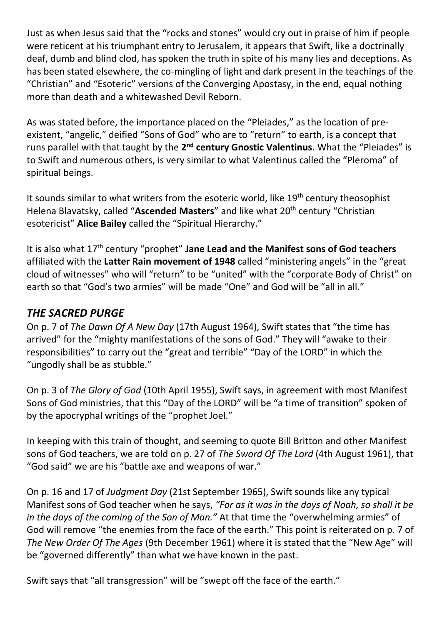Just as when Jesus said that the "rocks and stones" would cry out in praise of him if people were reticent at his triumphant entry to Jerusalem, it appears that Swift, like a doctrinally deaf, dumb and blind clod, has spoken the truth in spite of his many lies and deceptions. As has been stated elsewhere, the co-mingling of light and dark present in the teachings of the "Christian" and "Esoteric" versions of the Converging Apostasy, in the end, equal nothing more than death and a whitewashed Devil Reborn.

As was stated before, the importance placed on the "Pleiades," as the location of preexistent, "angelic," deified "Sons of God" who are to "return" to earth, is a concept that runs parallel with that taught by the 2<sup>nd</sup> century Gnostic Valentinus. What the "Pleiades" is to Swift and numerous others, is very similar to what Valentinus called the "Pleroma" of spiritual beings.

It sounds similar to what writers from the esoteric world, like 19<sup>th</sup> century theosophist Helena Blavatsky, called "Ascended Masters" and like what 20<sup>th</sup> century "Christian esotericist" **Alice Bailey** called the "Spiritual Hierarchy."

It is also what 17th century "prophet" **Jane Lead and the Manifest sons of God teachers** affiliated with the **Latter Rain movement of 1948** called "ministering angels" in the "great cloud of witnesses" who will "return" to be "united" with the "corporate Body of Christ" on earth so that "God's two armies" will be made "One" and God will be "all in all."

## *THE SACRED PURGE*

On p. 7 of *The Dawn Of A New Day* (17th August 1964), Swift states that "the time has arrived" for the "mighty manifestations of the sons of God." They will "awake to their responsibilities" to carry out the "great and terrible" "Day of the LORD" in which the "ungodly shall be as stubble."

On p. 3 of *The Glory of God* (10th April 1955), Swift says, in agreement with most Manifest Sons of God ministries, that this "Day of the LORD" will be "a time of transition" spoken of by the apocryphal writings of the "prophet Joel."

In keeping with this train of thought, and seeming to quote Bill Britton and other Manifest sons of God teachers, we are told on p. 27 of *The Sword Of The Lord* (4th August 1961), that "God said" we are his "battle axe and weapons of war."

On p. 16 and 17 of *Judgment Day* (21st September 1965), Swift sounds like any typical Manifest sons of God teacher when he says, *"For as it was in the days of Noah, so shall it be in the days of the coming of the Son of Man."* At that time the "overwhelming armies" of God will remove "the enemies from the face of the earth." This point is reiterated on p. 7 of *The New Order Of The Ages* (9th December 1961) where it is stated that the "New Age" will be "governed differently" than what we have known in the past.

Swift says that "all transgression" will be "swept off the face of the earth."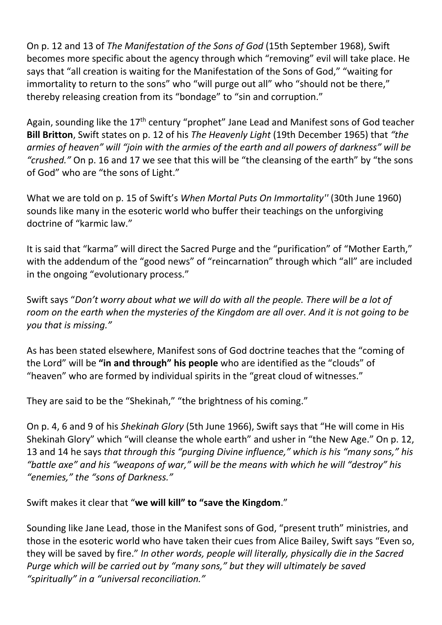On p. 12 and 13 of *The Manifestation of the Sons of God* (15th September 1968), Swift becomes more specific about the agency through which "removing" evil will take place. He says that "all creation is waiting for the Manifestation of the Sons of God," "waiting for immortality to return to the sons" who "will purge out all" who "should not be there," thereby releasing creation from its "bondage" to "sin and corruption."

Again, sounding like the 17<sup>th</sup> century "prophet" Jane Lead and Manifest sons of God teacher **Bill Britton**, Swift states on p. 12 of his *The Heavenly Light* (19th December 1965) that *"the armies of heaven" will "join with the armies of the earth and all powers of darkness" will be "crushed."* On p. 16 and 17 we see that this will be "the cleansing of the earth" by "the sons of God" who are "the sons of Light."

What we are told on p. 15 of Swift's *When Mortal Puts On Immortality''* (30th June 1960) sounds like many in the esoteric world who buffer their teachings on the unforgiving doctrine of "karmic law."

It is said that "karma" will direct the Sacred Purge and the "purification" of "Mother Earth," with the addendum of the "good news" of "reincarnation" through which "all" are included in the ongoing "evolutionary process."

Swift says "*Don't worry about what we will do with all the people. There will be a lot of room on the earth when the mysteries of the Kingdom are all over. And it is not going to be you that is missing."*

As has been stated elsewhere, Manifest sons of God doctrine teaches that the "coming of the Lord" will be **"in and through" his people** who are identified as the "clouds" of "heaven" who are formed by individual spirits in the "great cloud of witnesses."

They are said to be the "Shekinah," "the brightness of his coming."

On p. 4, 6 and 9 of his *Shekinah Glory* (5th June 1966), Swift says that "He will come in His Shekinah Glory" which "will cleanse the whole earth" and usher in "the New Age." On p. 12, 13 and 14 he says *that through this "purging Divine influence," which is his "many sons," his "battle axe" and his "weapons of war," will be the means with which he will "destroy" his "enemies," the "sons of Darkness."*

Swift makes it clear that "**we will kill" to "save the Kingdom**."

Sounding like Jane Lead, those in the Manifest sons of God, "present truth" ministries, and those in the esoteric world who have taken their cues from Alice Bailey, Swift says "Even so, they will be saved by fire." *In other words, people will literally, physically die in the Sacred Purge which will be carried out by "many sons," but they will ultimately be saved "spiritually" in a "universal reconciliation."*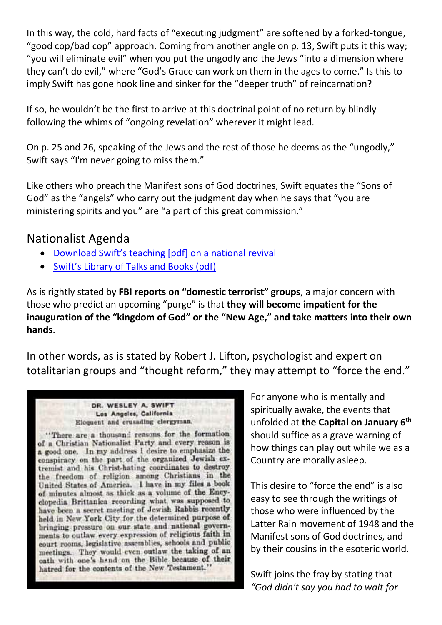In this way, the cold, hard facts of "executing judgment" are softened by a forked-tongue, "good cop/bad cop" approach. Coming from another angle on p. 13, Swift puts it this way; "you will eliminate evil" when you put the ungodly and the Jews "into a dimension where they can't do evil," where "God's Grace can work on them in the ages to come." Is this to imply Swift has gone hook line and sinker for the "deeper truth" of reincarnation?

If so, he wouldn't be the first to arrive at this doctrinal point of no return by blindly following the whims of "ongoing revelation" wherever it might lead.

On p. 25 and 26, speaking of the Jews and the rest of those he deems as the "ungodly," Swift says "I'm never going to miss them."

Like others who preach the Manifest sons of God doctrines, Swift equates the "Sons of God" as the "angels" who carry out the judgment day when he says that "you are ministering spirits and you" are "a part of this great commission."

## Nationalist Agenda

- [Download Swift's teaching](https://docarchive.christogenea.org/Publications/Swift2/National%20Restoration.pdf) [pdf] on a national revival
- [Swift's Library of Talks and Books \(pdf\)](https://swift.christogenea.org/wesley-swift-pdf-library)

As is rightly stated by **FBI reports on "domestic terrorist" groups**, a major concern with those who predict an upcoming "purge" is that **they will become impatient for the inauguration of the "kingdom of God" or the "New Age," and take matters into their own hands**.

In other words, as is stated by Robert J. Lifton, psychologist and expert on totalitarian groups and "thought reform," they may attempt to "force the end."

#### DR. WESLEY A. SWIFT Los Angeles, California Eloquent and crusading clergyman,

"There are a thousand reasons for the formation of a Christian Nationalist Party and every reason is a good one. In my address I desire to emphasize the conspiracy on the part of the organized Jewish extremist and his Christ-hating coordinates to destroy the freedom of religion among Christians in the United States of America. I have in my files a book of minutes almost as thick as a volume of the Encyclopedia Brittanica recording what was supposed to have been a secret meeting of Jewish Rabbis recently held in New York City for the determined purpose of bringing pressure on our state and national governments to outlaw every expression of religious faith in court rooms, legislative assemblies, schools and public meetings. They would even outlaw the taking of an oath with one's hand on the Bible because of their hatred for the contents of the New Testament."

For anyone who is mentally and spiritually awake, the events that unfolded at **the Capital on January 6th** should suffice as a grave warning of how things can play out while we as a Country are morally asleep.

This desire to "force the end" is also easy to see through the writings of those who were influenced by the Latter Rain movement of 1948 and the Manifest sons of God doctrines, and by their cousins in the esoteric world.

Swift joins the fray by stating that *"God didn't say you had to wait for*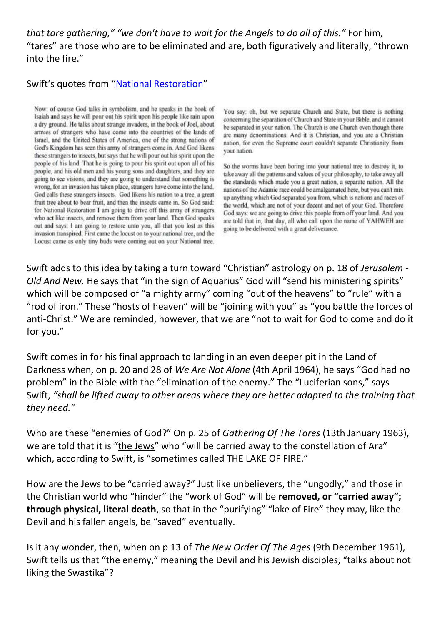*that tare gathering," "we don't have to wait for the Angels to do all of this."* For him, "tares" are those who are to be eliminated and are, both figuratively and literally, "thrown into the fire."

### Swift's quotes from "[National Restoration](https://docarchive.christogenea.org/Publications/Swift2/National%20Restoration.pdf)"

Now: of course God talks in symbolism, and he speaks in the book of Isaiah and says he will pour out his spirit upon his people like rain upon a dry ground. He talks about strange invaders, in the book of Joel, about armies of strangers who have come into the countries of the lands of Israel, and the United States of America, one of the strong nations of God's Kingdom has seen this army of strangers come in. And God likens these strangers to insects, but says that he will pour out his spirit upon the people of his land. That he is going to pour his spirit out upon all of his people, and his old men and his young sons and daughters, and they are going to see visions, and they are going to understand that something is wrong, for an invasion has taken place, strangers have come into the land. God calls these strangers insects. God likens his nation to a tree, a great fruit tree about to bear fruit, and then the insects came in. So God said: for National Restoration I am going to drive off this army of strangers who act like insects, and remove them from your land. Then God speaks out and says: I am going to restore unto you, all that you lost as this invasion transpired. First came the locust on to your national tree, and the Locust came as only tiny buds were coming out on your National tree.

You say: oh, but we separate Church and State, but there is nothing concerning the separation of Church and State in your Bible, and it cannot be separated in your nation. The Church is one Church even though there are many denominations. And it is Christian, and you are a Christian nation, for even the Supreme court couldn't separate Christianity from vour nation.

So the worms have been boring into your national tree to destroy it, to take away all the patterns and values of your philosophy, to take away all the standards which made you a great nation, a separate nation. All the nations of the Adamic race could be amalgamated here, but you can't mix up anything which God separated you from, which is nations and races of the world, which are not of your decent and not of your God. Therefore God says: we are going to drive this people from off your land. And you are told that in, that day, all who call upon the name of YAHWEH are going to be delivered with a great deliverance.

Swift adds to this idea by taking a turn toward "Christian" astrology on p. 18 of *Jerusalem - Old And New.* He says that "in the sign of Aquarius" God will "send his ministering spirits" which will be composed of "a mighty army" coming "out of the heavens" to "rule" with a "rod of iron." These "hosts of heaven" will be "joining with you" as "you battle the forces of anti-Christ." We are reminded, however, that we are "not to wait for God to come and do it for you."

Swift comes in for his final approach to landing in an even deeper pit in the Land of Darkness when, on p. 20 and 28 of *We Are Not Alone* (4th April 1964), he says "God had no problem" in the Bible with the "elimination of the enemy." The "Luciferian sons," says Swift, *"shall be lifted away to other areas where they are better adapted to the training that they need."*

Who are these "enemies of God?" On p. 25 of *Gathering Of The Tares* (13th January 1963), we are told that it is "the Jews" who "will be carried away to the constellation of Ara" which, according to Swift, is "sometimes called THE LAKE OF FIRE."

How are the Jews to be "carried away?" Just like unbelievers, the "ungodly," and those in the Christian world who "hinder" the "work of God" will be **removed, or "carried away"; through physical, literal death**, so that in the "purifying" "lake of Fire" they may, like the Devil and his fallen angels, be "saved" eventually.

Is it any wonder, then, when on p 13 of *The New Order Of The Ages* (9th December 1961), Swift tells us that "the enemy," meaning the Devil and his Jewish disciples, "talks about not liking the Swastika"?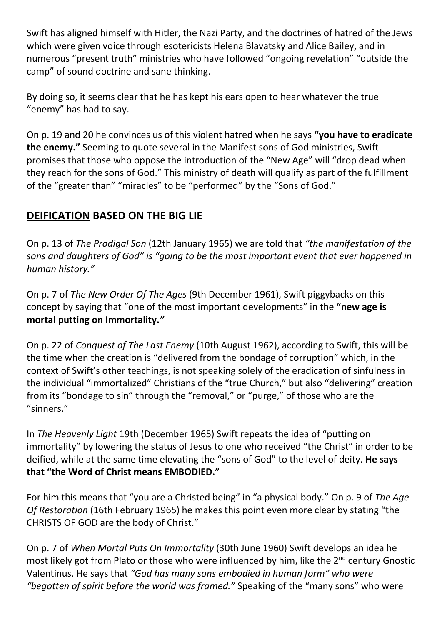Swift has aligned himself with Hitler, the Nazi Party, and the doctrines of hatred of the Jews which were given voice through esotericists Helena Blavatsky and Alice Bailey, and in numerous "present truth" ministries who have followed "ongoing revelation" "outside the camp" of sound doctrine and sane thinking.

By doing so, it seems clear that he has kept his ears open to hear whatever the true "enemy" has had to say.

On p. 19 and 20 he convinces us of this violent hatred when he says **"you have to eradicate the enemy."** Seeming to quote several in the Manifest sons of God ministries, Swift promises that those who oppose the introduction of the "New Age" will "drop dead when they reach for the sons of God." This ministry of death will qualify as part of the fulfillment of the "greater than" "miracles" to be "performed" by the "Sons of God."

## **DEIFICATION BASED ON THE BIG LIE**

On p. 13 of *The Prodigal Son* (12th January 1965) we are told that *"the manifestation of the sons and daughters of God" is "going to be the most important event that ever happened in human history."*

On p. 7 of *The New Order Of The Ages* (9th December 1961), Swift piggybacks on this concept by saying that "one of the most important developments" in the **"new age is mortal putting on Immortality.***"* 

On p. 22 of *Conquest of The Last Enemy* (10th August 1962), according to Swift, this will be the time when the creation is "delivered from the bondage of corruption" which, in the context of Swift's other teachings, is not speaking solely of the eradication of sinfulness in the individual "immortalized" Christians of the "true Church," but also "delivering" creation from its "bondage to sin" through the "removal," or "purge," of those who are the "sinners."

In *The Heavenly Light* 19th (December 1965) Swift repeats the idea of "putting on immortality" by lowering the status of Jesus to one who received "the Christ" in order to be deified, while at the same time elevating the "sons of God" to the level of deity. **He says that "the Word of Christ means EMBODIED."**

For him this means that "you are a Christed being" in "a physical body." On p. 9 of *The Age Of Restoration* (16th February 1965) he makes this point even more clear by stating "the CHRISTS OF GOD are the body of Christ."

On p. 7 of *When Mortal Puts On Immortality* (30th June 1960) Swift develops an idea he most likely got from Plato or those who were influenced by him, like the 2<sup>nd</sup> century Gnostic Valentinus. He says that *"God has many sons embodied in human form" who were "begotten of spirit before the world was framed."* Speaking of the "many sons" who were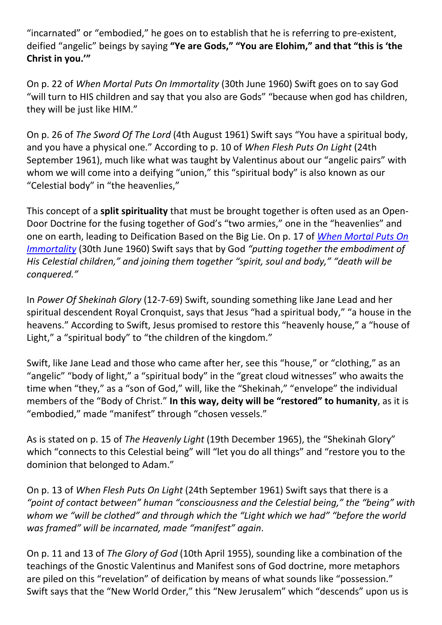"incarnated" or "embodied," he goes on to establish that he is referring to pre-existent, deified "angelic" beings by saying **"Ye are Gods," "You are Elohim," and that "this is 'the Christ in you.'"**

On p. 22 of *When Mortal Puts On Immortality* (30th June 1960) Swift goes on to say God "will turn to HIS children and say that you also are Gods" "because when god has children, they will be just like HIM."

On p. 26 of *The Sword Of The Lord* (4th August 1961) Swift says "You have a spiritual body, and you have a physical one." According to p. 10 of *When Flesh Puts On Light* (24th September 1961), much like what was taught by Valentinus about our "angelic pairs" with whom we will come into a deifying "union," this "spiritual body" is also known as our "Celestial body" in "the heavenlies,"

This concept of a **split spirituality** that must be brought together is often used as an Open-Door Doctrine for the fusing together of God's "two armies," one in the "heavenlies" and one on earth, leading to Deification Based on the Big Lie. On p. 17 of *[When Mortal Puts On](https://swift.christogenea.org/articles/when-mortal-puts-immortality-6-30-60)  [Immortality](https://swift.christogenea.org/articles/when-mortal-puts-immortality-6-30-60)* (30th June 1960) Swift says that by God *"putting together the embodiment of His Celestial children," and joining them together "spirit, soul and body," "death will be conquered."* 

In *Power Of Shekinah Glory* (12-7-69) Swift, sounding something like Jane Lead and her spiritual descendent Royal Cronquist, says that Jesus "had a spiritual body," "a house in the heavens." According to Swift, Jesus promised to restore this "heavenly house," a "house of Light," a "spiritual body" to "the children of the kingdom."

Swift, like Jane Lead and those who came after her, see this "house," or "clothing," as an "angelic" "body of light," a "spiritual body" in the "great cloud witnesses" who awaits the time when "they," as a "son of God," will, like the "Shekinah," "envelope" the individual members of the "Body of Christ." **In this way, deity will be "restored" to humanity**, as it is "embodied," made "manifest" through "chosen vessels."

As is stated on p. 15 of *The Heavenly Light* (19th December 1965), the "Shekinah Glory" which "connects to this Celestial being" will "let you do all things" and "restore you to the dominion that belonged to Adam."

On p. 13 of *When Flesh Puts On Light* (24th September 1961) Swift says that there is a *"point of contact between" human "consciousness and the Celestial being," the "being" with whom we "will be clothed" and through which the "Light which we had" "before the world was framed" will be incarnated, made "manifest" again*.

On p. 11 and 13 of *The Glory of God* (10th April 1955), sounding like a combination of the teachings of the Gnostic Valentinus and Manifest sons of God doctrine, more metaphors are piled on this "revelation" of deification by means of what sounds like "possession." Swift says that the "New World Order," this "New Jerusalem" which "descends" upon us is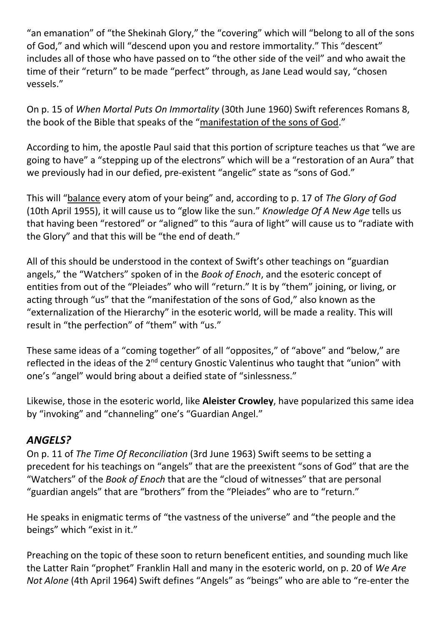"an emanation" of "the Shekinah Glory," the "covering" which will "belong to all of the sons of God," and which will "descend upon you and restore immortality." This "descent" includes all of those who have passed on to "the other side of the veil" and who await the time of their "return" to be made "perfect" through, as Jane Lead would say, "chosen vessels."

On p. 15 of *When Mortal Puts On Immortality* (30th June 1960) Swift references Romans 8, the book of the Bible that speaks of the "manifestation of the sons of God."

According to him, the apostle Paul said that this portion of scripture teaches us that "we are going to have" a "stepping up of the electrons" which will be a "restoration of an Aura" that we previously had in our defied, pre-existent "angelic" state as "sons of God."

This will "balance every atom of your being" and, according to p. 17 of *The Glory of God* (10th April 1955), it will cause us to "glow like the sun." *Knowledge Of A New Age* tells us that having been "restored" or "aligned" to this "aura of light" will cause us to "radiate with the Glory" and that this will be "the end of death."

All of this should be understood in the context of Swift's other teachings on "guardian angels," the "Watchers" spoken of in the *Book of Enoch*, and the esoteric concept of entities from out of the "Pleiades" who will "return." It is by "them" joining, or living, or acting through "us" that the "manifestation of the sons of God," also known as the "externalization of the Hierarchy" in the esoteric world, will be made a reality. This will result in "the perfection" of "them" with "us."

These same ideas of a "coming together" of all "opposites," of "above" and "below," are reflected in the ideas of the 2<sup>nd</sup> century Gnostic Valentinus who taught that "union" with one's "angel" would bring about a deified state of "sinlessness."

Likewise, those in the esoteric world, like **Aleister Crowley**, have popularized this same idea by "invoking" and "channeling" one's "Guardian Angel."

## *ANGELS?*

On p. 11 of *The Time Of Reconciliation* (3rd June 1963) Swift seems to be setting a precedent for his teachings on "angels" that are the preexistent "sons of God" that are the "Watchers" of the *Book of Enoch* that are the "cloud of witnesses" that are personal "guardian angels" that are "brothers" from the "Pleiades" who are to "return."

He speaks in enigmatic terms of "the vastness of the universe" and "the people and the beings" which "exist in it."

Preaching on the topic of these soon to return beneficent entities, and sounding much like the Latter Rain "prophet" Franklin Hall and many in the esoteric world, on p. 20 of *We Are Not Alone* (4th April 1964) Swift defines "Angels" as "beings" who are able to "re-enter the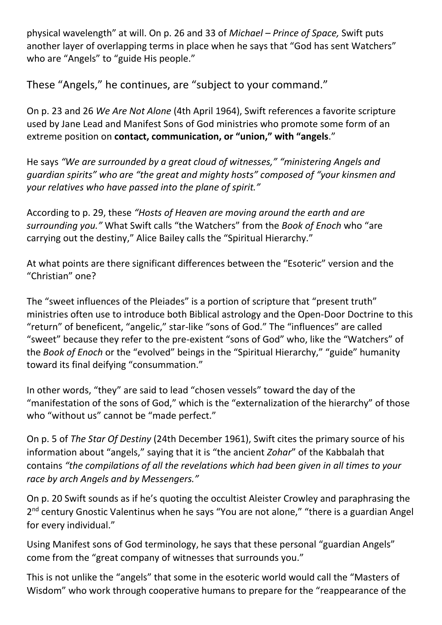physical wavelength" at will. On p. 26 and 33 of *Michael – Prince of Space,* Swift puts another layer of overlapping terms in place when he says that "God has sent Watchers" who are "Angels" to "guide His people."

These "Angels," he continues, are "subject to your command."

On p. 23 and 26 *We Are Not Alone* (4th April 1964), Swift references a favorite scripture used by Jane Lead and Manifest Sons of God ministries who promote some form of an extreme position on **contact, communication, or "union," with "angels**."

He says *"We are surrounded by a great cloud of witnesses," "ministering Angels and guardian spirits" who are "the great and mighty hosts" composed of "your kinsmen and your relatives who have passed into the plane of spirit."* 

According to p. 29, these *"Hosts of Heaven are moving around the earth and are surrounding you."* What Swift calls "the Watchers" from the *Book of Enoch* who "are carrying out the destiny," Alice Bailey calls the "Spiritual Hierarchy."

At what points are there significant differences between the "Esoteric" version and the "Christian" one?

The "sweet influences of the Pleiades" is a portion of scripture that "present truth" ministries often use to introduce both Biblical astrology and the Open-Door Doctrine to this "return" of beneficent, "angelic," star-like "sons of God." The "influences" are called "sweet" because they refer to the pre-existent "sons of God" who, like the "Watchers" of the *Book of Enoch* or the "evolved" beings in the "Spiritual Hierarchy," "guide" humanity toward its final deifying "consummation."

In other words, "they" are said to lead "chosen vessels" toward the day of the "manifestation of the sons of God," which is the "externalization of the hierarchy" of those who "without us" cannot be "made perfect."

On p. 5 of *The Star Of Destiny* (24th December 1961), Swift cites the primary source of his information about "angels," saying that it is "the ancient *Zohar*" of the Kabbalah that contains *"the compilations of all the revelations which had been given in all times to your race by arch Angels and by Messengers."*

On p. 20 Swift sounds as if he's quoting the occultist Aleister Crowley and paraphrasing the 2<sup>nd</sup> century Gnostic Valentinus when he says "You are not alone," "there is a guardian Angel for every individual."

Using Manifest sons of God terminology, he says that these personal "guardian Angels" come from the "great company of witnesses that surrounds you."

This is not unlike the "angels" that some in the esoteric world would call the "Masters of Wisdom" who work through cooperative humans to prepare for the "reappearance of the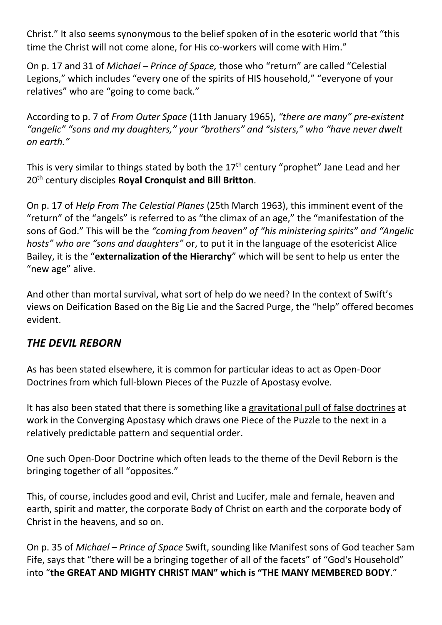Christ." It also seems synonymous to the belief spoken of in the esoteric world that "this time the Christ will not come alone, for His co-workers will come with Him."

On p. 17 and 31 of *Michael – Prince of Space,* those who "return" are called "Celestial Legions," which includes "every one of the spirits of HIS household," "everyone of your relatives" who are "going to come back."

According to p. 7 of *From Outer Space* (11th January 1965), *"there are many" pre-existent "angelic" "sons and my daughters," your "brothers" and "sisters," who "have never dwelt on earth."*

This is very similar to things stated by both the  $17<sup>th</sup>$  century "prophet" Jane Lead and her 20th century disciples **Royal Cronquist and Bill Britton**.

On p. 17 of *Help From The Celestial Planes* (25th March 1963), this imminent event of the "return" of the "angels" is referred to as "the climax of an age," the "manifestation of the sons of God." This will be the *"coming from heaven" of "his ministering spirits" and "Angelic hosts" who are "sons and daughters"* or, to put it in the language of the esotericist Alice Bailey, it is the "**externalization of the Hierarchy**" which will be sent to help us enter the "new age" alive.

And other than mortal survival, what sort of help do we need? In the context of Swift's views on Deification Based on the Big Lie and the Sacred Purge, the "help" offered becomes evident.

## *THE DEVIL REBORN*

As has been stated elsewhere, it is common for particular ideas to act as Open-Door Doctrines from which full-blown Pieces of the Puzzle of Apostasy evolve.

It has also been stated that there is something like a gravitational pull of false doctrines at work in the Converging Apostasy which draws one Piece of the Puzzle to the next in a relatively predictable pattern and sequential order.

One such Open-Door Doctrine which often leads to the theme of the Devil Reborn is the bringing together of all "opposites."

This, of course, includes good and evil, Christ and Lucifer, male and female, heaven and earth, spirit and matter, the corporate Body of Christ on earth and the corporate body of Christ in the heavens, and so on.

On p. 35 of *Michael – Prince of Space* Swift, sounding like Manifest sons of God teacher Sam Fife, says that "there will be a bringing together of all of the facets" of "God's Household" into "**the GREAT AND MIGHTY CHRIST MAN" which is "THE MANY MEMBERED BODY**."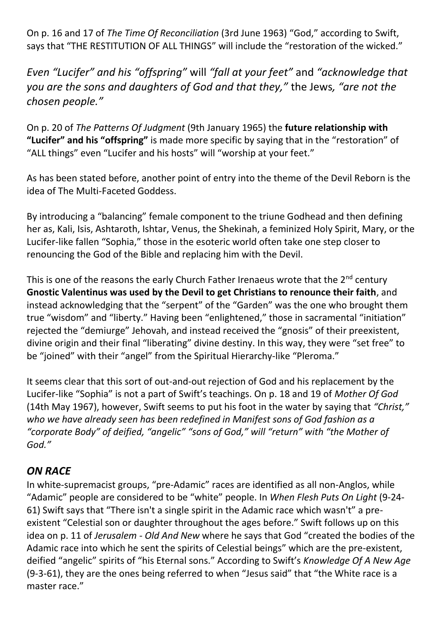On p. 16 and 17 of *The Time Of Reconciliation* (3rd June 1963) "God," according to Swift, says that "THE RESTITUTION OF ALL THINGS" will include the "restoration of the wicked."

*Even "Lucifer" and his "offspring"* will *"fall at your feet"* and *"acknowledge that you are the sons and daughters of God and that they,"* the Jews*, "are not the chosen people."*

On p. 20 of *The Patterns Of Judgment* (9th January 1965) the **future relationship with "Lucifer" and his "offspring"** is made more specific by saying that in the "restoration" of "ALL things" even "Lucifer and his hosts" will "worship at your feet."

As has been stated before, another point of entry into the theme of the Devil Reborn is the idea of The Multi-Faceted Goddess.

By introducing a "balancing" female component to the triune Godhead and then defining her as, Kali, Isis, Ashtaroth, Ishtar, Venus, the Shekinah, a feminized Holy Spirit, Mary, or the Lucifer-like fallen "Sophia," those in the esoteric world often take one step closer to renouncing the God of the Bible and replacing him with the Devil.

This is one of the reasons the early Church Father Irenaeus wrote that the  $2^{nd}$  century **Gnostic Valentinus was used by the Devil to get Christians to renounce their faith**, and instead acknowledging that the "serpent" of the "Garden" was the one who brought them true "wisdom" and "liberty." Having been "enlightened," those in sacramental "initiation" rejected the "demiurge" Jehovah, and instead received the "gnosis" of their preexistent, divine origin and their final "liberating" divine destiny. In this way, they were "set free" to be "joined" with their "angel" from the Spiritual Hierarchy-like "Pleroma."

It seems clear that this sort of out-and-out rejection of God and his replacement by the Lucifer-like "Sophia" is not a part of Swift's teachings. On p. 18 and 19 of *Mother Of God* (14th May 1967), however, Swift seems to put his foot in the water by saying that *"Christ," who we have already seen has been redefined in Manifest sons of God fashion as a "corporate Body" of deified, "angelic" "sons of God," will "return" with "the Mother of God."* 

## *ON RACE*

In white-supremacist groups, "pre-Adamic" races are identified as all non-Anglos, while "Adamic" people are considered to be "white" people. In *When Flesh Puts On Light* (9-24- 61) Swift says that "There isn't a single spirit in the Adamic race which wasn't" a preexistent "Celestial son or daughter throughout the ages before." Swift follows up on this idea on p. 11 of *Jerusalem - Old And New* where he says that God "created the bodies of the Adamic race into which he sent the spirits of Celestial beings" which are the pre-existent, deified "angelic" spirits of "his Eternal sons." According to Swift's *Knowledge Of A New Age* (9-3-61), they are the ones being referred to when "Jesus said" that "the White race is a master race."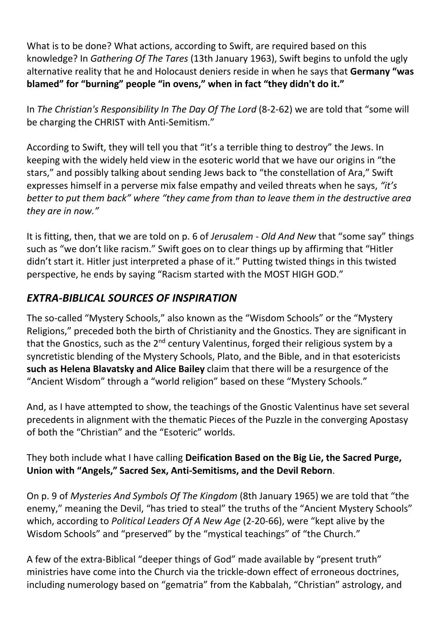What is to be done? What actions, according to Swift, are required based on this knowledge? In *Gathering Of The Tares* (13th January 1963), Swift begins to unfold the ugly alternative reality that he and Holocaust deniers reside in when he says that **Germany "was blamed" for "burning" people "in ovens," when in fact "they didn't do it."**

In *The Christian's Responsibility In The Day Of The Lord* (8-2-62) we are told that "some will be charging the CHRIST with Anti-Semitism."

According to Swift, they will tell you that "it's a terrible thing to destroy" the Jews. In keeping with the widely held view in the esoteric world that we have our origins in "the stars," and possibly talking about sending Jews back to "the constellation of Ara," Swift expresses himself in a perverse mix false empathy and veiled threats when he says, *"it's better to put them back" where "they came from than to leave them in the destructive area they are in now."*

It is fitting, then, that we are told on p. 6 of *Jerusalem - Old And New* that "some say" things such as "we don't like racism." Swift goes on to clear things up by affirming that "Hitler didn't start it. Hitler just interpreted a phase of it." Putting twisted things in this twisted perspective, he ends by saying "Racism started with the MOST HIGH GOD."

## *EXTRA-BIBLICAL SOURCES OF INSPIRATION*

The so-called "Mystery Schools," also known as the "Wisdom Schools" or the "Mystery Religions," preceded both the birth of Christianity and the Gnostics. They are significant in that the Gnostics, such as the  $2^{nd}$  century Valentinus, forged their religious system by a syncretistic blending of the Mystery Schools, Plato, and the Bible, and in that esotericists **such as Helena Blavatsky and Alice Bailey** claim that there will be a resurgence of the "Ancient Wisdom" through a "world religion" based on these "Mystery Schools."

And, as I have attempted to show, the teachings of the Gnostic Valentinus have set several precedents in alignment with the thematic Pieces of the Puzzle in the converging Apostasy of both the "Christian" and the "Esoteric" worlds.

They both include what I have calling **Deification Based on the Big Lie, the Sacred Purge, Union with "Angels," Sacred Sex, Anti-Semitisms, and the Devil Reborn**.

On p. 9 of *Mysteries And Symbols Of The Kingdom* (8th January 1965) we are told that "the enemy," meaning the Devil, "has tried to steal" the truths of the "Ancient Mystery Schools" which, according to *Political Leaders Of A New Age* (2-20-66), were "kept alive by the Wisdom Schools" and "preserved" by the "mystical teachings" of "the Church."

A few of the extra-Biblical "deeper things of God" made available by "present truth" ministries have come into the Church via the trickle-down effect of erroneous doctrines, including numerology based on "gematria" from the Kabbalah, "Christian" astrology, and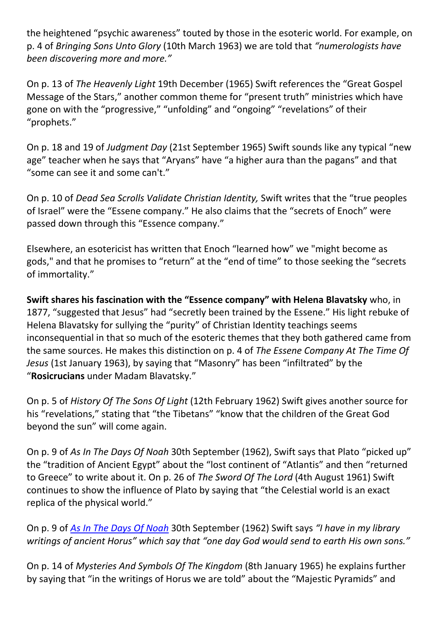the heightened "psychic awareness" touted by those in the esoteric world. For example, on p. 4 of *Bringing Sons Unto Glory* (10th March 1963) we are told that *"numerologists have been discovering more and more."* 

On p. 13 of *The Heavenly Light* 19th December (1965) Swift references the "Great Gospel Message of the Stars," another common theme for "present truth" ministries which have gone on with the "progressive," "unfolding" and "ongoing" "revelations" of their "prophets."

On p. 18 and 19 of *Judgment Day* (21st September 1965) Swift sounds like any typical "new age" teacher when he says that "Aryans" have "a higher aura than the pagans" and that "some can see it and some can't."

On p. 10 of *Dead Sea Scrolls Validate Christian Identity,* Swift writes that the "true peoples of Israel" were the "Essene company." He also claims that the "secrets of Enoch" were passed down through this "Essence company."

Elsewhere, an esotericist has written that Enoch "learned how" we "might become as gods," and that he promises to "return" at the "end of time" to those seeking the "secrets of immortality."

**Swift shares his fascination with the "Essence company" with Helena Blavatsky** who, in 1877, "suggested that Jesus" had "secretly been trained by the Essene." His light rebuke of Helena Blavatsky for sullying the "purity" of Christian Identity teachings seems inconsequential in that so much of the esoteric themes that they both gathered came from the same sources. He makes this distinction on p. 4 of *The Essene Company At The Time Of Jesus* (1st January 1963), by saying that "Masonry" has been "infiltrated" by the "**Rosicrucians** under Madam Blavatsky."

On p. 5 of *History Of The Sons Of Light* (12th February 1962) Swift gives another source for his "revelations," stating that "the Tibetans" "know that the children of the Great God beyond the sun" will come again.

On p. 9 of *As In The Days Of Noah* 30th September (1962), Swift says that Plato "picked up" the "tradition of Ancient Egypt" about the "lost continent of "Atlantis" and then "returned to Greece" to write about it. On p. 26 of *The Sword Of The Lord* (4th August 1961) Swift continues to show the influence of Plato by saying that "the Celestial world is an exact replica of the physical world."

On p. 9 of *[As In The Days Of Noah](https://www.youtube.com/watch?v=IgZNwxtwMho)* 30th September (1962) Swift says *"I have in my library writings of ancient Horus" which say that "one day God would send to earth His own sons."*

On p. 14 of *Mysteries And Symbols Of The Kingdom* (8th January 1965) he explains further by saying that "in the writings of Horus we are told" about the "Majestic Pyramids" and